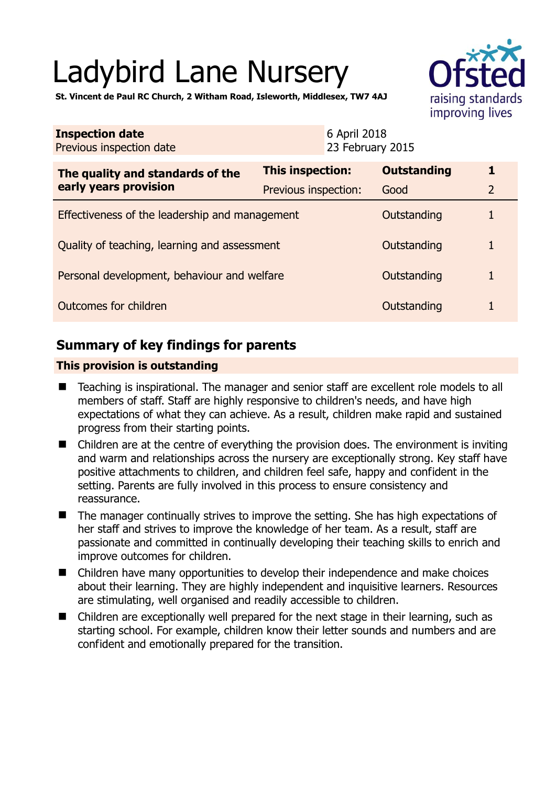# Ladybird Lane Nursery



**St. Vincent de Paul RC Church, 2 Witham Road, Isleworth, Middlesex, TW7 4AJ** 

| <b>Inspection date</b><br>Previous inspection date        |                      | 6 April 2018<br>23 February 2015 |                    |                |
|-----------------------------------------------------------|----------------------|----------------------------------|--------------------|----------------|
| The quality and standards of the<br>early years provision | This inspection:     |                                  | <b>Outstanding</b> | 1              |
|                                                           | Previous inspection: |                                  | Good               | $\overline{2}$ |
| Effectiveness of the leadership and management            |                      |                                  | Outstanding        |                |
| Quality of teaching, learning and assessment              |                      |                                  | Outstanding        |                |
| Personal development, behaviour and welfare               |                      |                                  | Outstanding        |                |
| Outcomes for children                                     |                      |                                  | Outstanding        |                |

# **Summary of key findings for parents**

## **This provision is outstanding**

- Teaching is inspirational. The manager and senior staff are excellent role models to all members of staff. Staff are highly responsive to children's needs, and have high expectations of what they can achieve. As a result, children make rapid and sustained progress from their starting points.
- Children are at the centre of everything the provision does. The environment is inviting and warm and relationships across the nursery are exceptionally strong. Key staff have positive attachments to children, and children feel safe, happy and confident in the setting. Parents are fully involved in this process to ensure consistency and reassurance.
- The manager continually strives to improve the setting. She has high expectations of her staff and strives to improve the knowledge of her team. As a result, staff are passionate and committed in continually developing their teaching skills to enrich and improve outcomes for children.
- Children have many opportunities to develop their independence and make choices about their learning. They are highly independent and inquisitive learners. Resources are stimulating, well organised and readily accessible to children.
- Children are exceptionally well prepared for the next stage in their learning, such as starting school. For example, children know their letter sounds and numbers and are confident and emotionally prepared for the transition.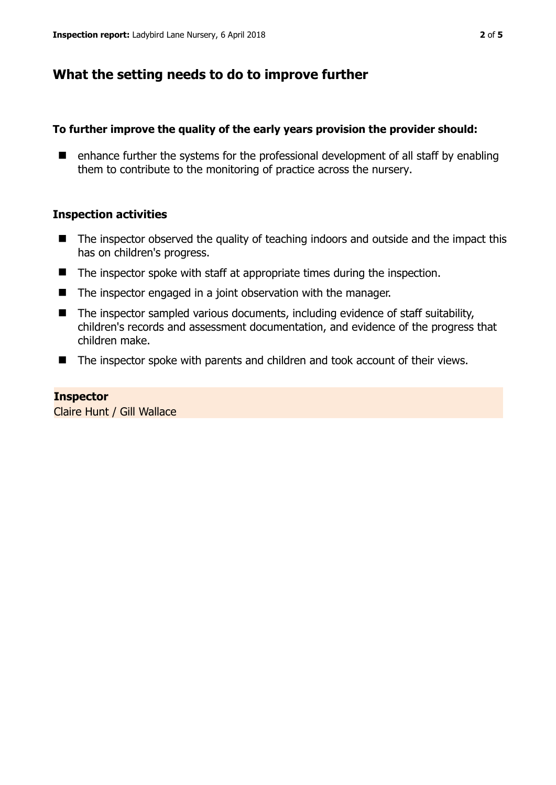## **What the setting needs to do to improve further**

## **To further improve the quality of the early years provision the provider should:**

 $\blacksquare$  enhance further the systems for the professional development of all staff by enabling them to contribute to the monitoring of practice across the nursery.

## **Inspection activities**

- $\blacksquare$  The inspector observed the quality of teaching indoors and outside and the impact this has on children's progress.
- The inspector spoke with staff at appropriate times during the inspection.
- $\blacksquare$  The inspector engaged in a joint observation with the manager.
- $\blacksquare$  The inspector sampled various documents, including evidence of staff suitability, children's records and assessment documentation, and evidence of the progress that children make.
- The inspector spoke with parents and children and took account of their views.

## **Inspector**

Claire Hunt / Gill Wallace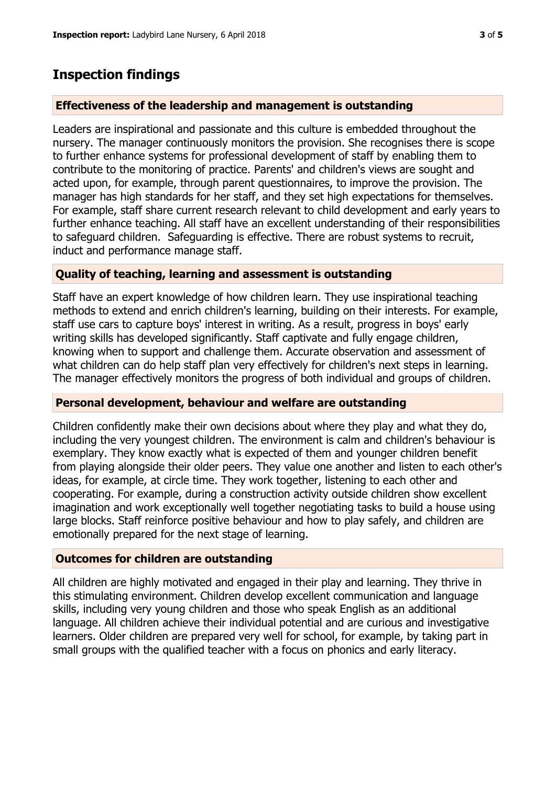# **Inspection findings**

## **Effectiveness of the leadership and management is outstanding**

Leaders are inspirational and passionate and this culture is embedded throughout the nursery. The manager continuously monitors the provision. She recognises there is scope to further enhance systems for professional development of staff by enabling them to contribute to the monitoring of practice. Parents' and children's views are sought and acted upon, for example, through parent questionnaires, to improve the provision. The manager has high standards for her staff, and they set high expectations for themselves. For example, staff share current research relevant to child development and early years to further enhance teaching. All staff have an excellent understanding of their responsibilities to safeguard children. Safeguarding is effective. There are robust systems to recruit, induct and performance manage staff.

## **Quality of teaching, learning and assessment is outstanding**

Staff have an expert knowledge of how children learn. They use inspirational teaching methods to extend and enrich children's learning, building on their interests. For example, staff use cars to capture boys' interest in writing. As a result, progress in boys' early writing skills has developed significantly. Staff captivate and fully engage children, knowing when to support and challenge them. Accurate observation and assessment of what children can do help staff plan very effectively for children's next steps in learning. The manager effectively monitors the progress of both individual and groups of children.

## **Personal development, behaviour and welfare are outstanding**

Children confidently make their own decisions about where they play and what they do, including the very youngest children. The environment is calm and children's behaviour is exemplary. They know exactly what is expected of them and younger children benefit from playing alongside their older peers. They value one another and listen to each other's ideas, for example, at circle time. They work together, listening to each other and cooperating. For example, during a construction activity outside children show excellent imagination and work exceptionally well together negotiating tasks to build a house using large blocks. Staff reinforce positive behaviour and how to play safely, and children are emotionally prepared for the next stage of learning.

## **Outcomes for children are outstanding**

All children are highly motivated and engaged in their play and learning. They thrive in this stimulating environment. Children develop excellent communication and language skills, including very young children and those who speak English as an additional language. All children achieve their individual potential and are curious and investigative learners. Older children are prepared very well for school, for example, by taking part in small groups with the qualified teacher with a focus on phonics and early literacy.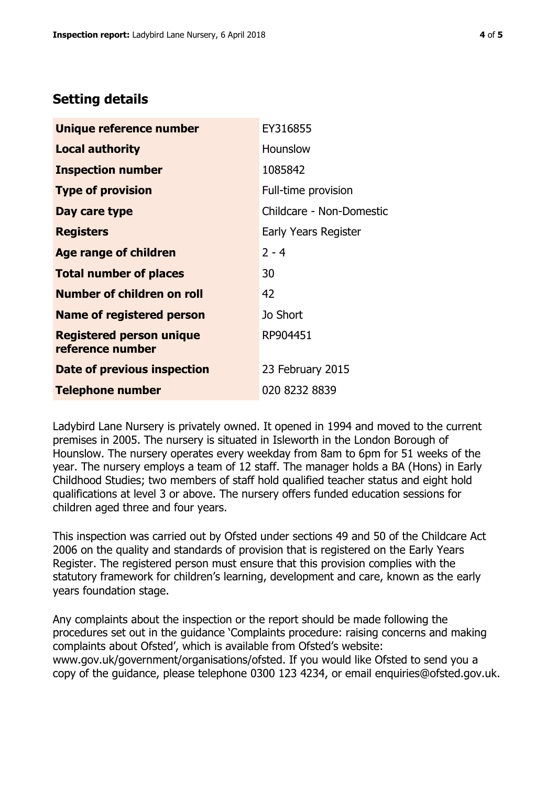## **Setting details**

| Unique reference number                             | EY316855                 |  |
|-----------------------------------------------------|--------------------------|--|
| <b>Local authority</b>                              | <b>Hounslow</b>          |  |
| <b>Inspection number</b>                            | 1085842                  |  |
| <b>Type of provision</b>                            | Full-time provision      |  |
| Day care type                                       | Childcare - Non-Domestic |  |
| <b>Registers</b>                                    | Early Years Register     |  |
| <b>Age range of children</b>                        | $2 - 4$                  |  |
| <b>Total number of places</b>                       | 30                       |  |
| <b>Number of children on roll</b>                   | 42                       |  |
| <b>Name of registered person</b>                    | Jo Short                 |  |
| <b>Registered person unique</b><br>reference number | RP904451                 |  |
| Date of previous inspection                         | 23 February 2015         |  |
| <b>Telephone number</b>                             | 020 8232 8839            |  |

Ladybird Lane Nursery is privately owned. It opened in 1994 and moved to the current premises in 2005. The nursery is situated in Isleworth in the London Borough of Hounslow. The nursery operates every weekday from 8am to 6pm for 51 weeks of the year. The nursery employs a team of 12 staff. The manager holds a BA (Hons) in Early Childhood Studies; two members of staff hold qualified teacher status and eight hold qualifications at level 3 or above. The nursery offers funded education sessions for children aged three and four years.

This inspection was carried out by Ofsted under sections 49 and 50 of the Childcare Act 2006 on the quality and standards of provision that is registered on the Early Years Register. The registered person must ensure that this provision complies with the statutory framework for children's learning, development and care, known as the early years foundation stage.

Any complaints about the inspection or the report should be made following the procedures set out in the guidance 'Complaints procedure: raising concerns and making complaints about Ofsted', which is available from Ofsted's website: www.gov.uk/government/organisations/ofsted. If you would like Ofsted to send you a copy of the guidance, please telephone 0300 123 4234, or email enquiries@ofsted.gov.uk.